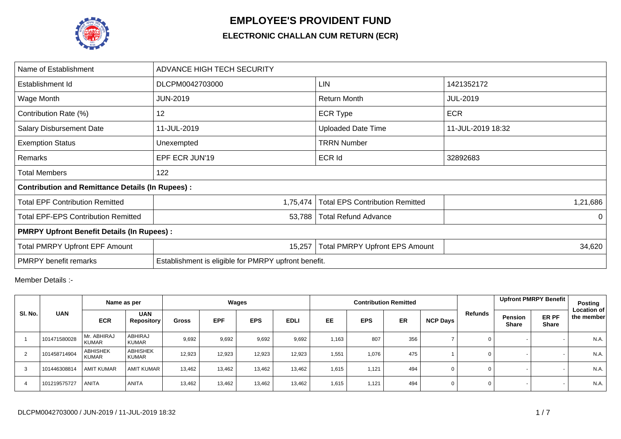

## **EMPLOYEE'S PROVIDENT FUND**

## **ELECTRONIC CHALLAN CUM RETURN (ECR)**

| Name of Establishment                                   | ADVANCE HIGH TECH SECURITY                           |                                        |                   |  |  |  |  |  |  |  |
|---------------------------------------------------------|------------------------------------------------------|----------------------------------------|-------------------|--|--|--|--|--|--|--|
| Establishment Id                                        | DLCPM0042703000                                      | LIN                                    | 1421352172        |  |  |  |  |  |  |  |
| Wage Month                                              | <b>JUN-2019</b>                                      | Return Month                           | <b>JUL-2019</b>   |  |  |  |  |  |  |  |
| Contribution Rate (%)                                   | 12                                                   | <b>ECR Type</b>                        | <b>ECR</b>        |  |  |  |  |  |  |  |
| <b>Salary Disbursement Date</b>                         | 11-JUL-2019                                          | <b>Uploaded Date Time</b>              | 11-JUL-2019 18:32 |  |  |  |  |  |  |  |
| <b>Exemption Status</b>                                 | Unexempted                                           | <b>TRRN Number</b>                     |                   |  |  |  |  |  |  |  |
| Remarks                                                 | EPF ECR JUN'19                                       | <b>ECR Id</b>                          | 32892683          |  |  |  |  |  |  |  |
| <b>Total Members</b>                                    | 122                                                  |                                        |                   |  |  |  |  |  |  |  |
| <b>Contribution and Remittance Details (In Rupees):</b> |                                                      |                                        |                   |  |  |  |  |  |  |  |
| <b>Total EPF Contribution Remitted</b>                  | 1,75,474                                             | <b>Total EPS Contribution Remitted</b> | 1,21,686          |  |  |  |  |  |  |  |
| <b>Total EPF-EPS Contribution Remitted</b>              | 53,788                                               | <b>Total Refund Advance</b>            | $\Omega$          |  |  |  |  |  |  |  |
| <b>PMRPY Upfront Benefit Details (In Rupees):</b>       |                                                      |                                        |                   |  |  |  |  |  |  |  |
| <b>Total PMRPY Upfront EPF Amount</b>                   | 15,257                                               | <b>Total PMRPY Upfront EPS Amount</b>  | 34,620            |  |  |  |  |  |  |  |
| <b>PMRPY</b> benefit remarks                            | Establishment is eligible for PMRPY upfront benefit. |                                        |                   |  |  |  |  |  |  |  |

Member Details :-

|         |              | Name as per                     |                                 | Wages  |            |            |             |           |            | <b>Contribution Remitted</b> |                 |             | Upfront PMRPY Benefit   |                       | Posting<br><b>Location of</b> |
|---------|--------------|---------------------------------|---------------------------------|--------|------------|------------|-------------|-----------|------------|------------------------------|-----------------|-------------|-------------------------|-----------------------|-------------------------------|
| SI. No. | <b>UAN</b>   | <b>ECR</b>                      | <b>UAN</b><br><b>Repository</b> | Gross  | <b>EPF</b> | <b>EPS</b> | <b>EDLI</b> | <b>EE</b> | <b>EPS</b> | <b>ER</b>                    | <b>NCP Days</b> | Refunds     | Pension<br><b>Share</b> | ER PF<br><b>Share</b> | the member                    |
|         | 101471580028 | Mr. ABHIRAJ<br><b>KUMAR</b>     | ABHIRAJ<br><b>KUMAR</b>         | 9,692  | 9,692      | 9,692      | 9,692       | 1,163     | 807        | 356                          |                 | 0           |                         |                       | N.A.                          |
| 2       | 101458714904 | <b>ABHISHEK</b><br><b>KUMAR</b> | <b>ABHISHEK</b><br><b>KUMAR</b> | 12,923 | 12,923     | 12,923     | 12,923      | 1,551     | 1,076      | 475                          |                 | 0           |                         |                       | N.A.                          |
| 3       | 101446308814 | <b>AMIT KUMAR</b>               | <b>AMIT KUMAR</b>               | 13,462 | 13,462     | 13,462     | 13,462      | 1,615     | 1,121      | 494                          | $\Omega$        | 0           |                         |                       | N.A.                          |
| 4       | 101219575727 | <b>ANITA</b>                    | <b>ANITA</b>                    | 13,462 | 13.462     | 13,462     | 13,462      | 1,615     | 1.121      | 494                          | 0               | $\mathbf 0$ |                         |                       | N.A.                          |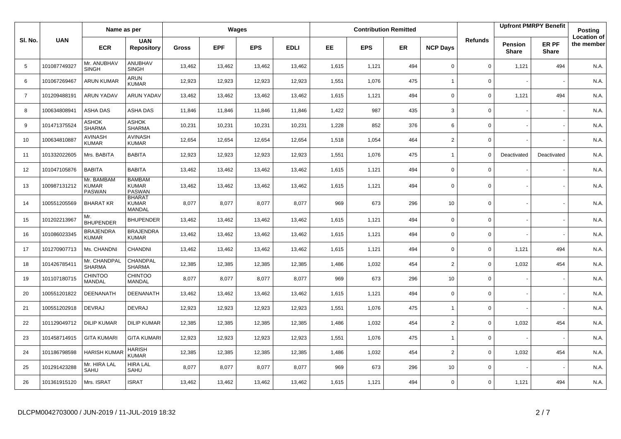|                |              | Name as per                                 |                                                |              |            | Wages      |             |       |            | <b>Contribution Remitted</b> |                 |                |                                | <b>Upfront PMRPY Benefit</b> | Posting                          |
|----------------|--------------|---------------------------------------------|------------------------------------------------|--------------|------------|------------|-------------|-------|------------|------------------------------|-----------------|----------------|--------------------------------|------------------------------|----------------------------------|
| SI. No.        | <b>UAN</b>   | <b>ECR</b>                                  | <b>UAN</b><br><b>Repository</b>                | <b>Gross</b> | <b>EPF</b> | <b>EPS</b> | <b>EDLI</b> | EE.   | <b>EPS</b> | <b>ER</b>                    | <b>NCP Days</b> | <b>Refunds</b> | <b>Pension</b><br><b>Share</b> | ER PF<br><b>Share</b>        | <b>Location of</b><br>the member |
| 5              | 101087749327 | Mr. ANUBHAV<br><b>SINGH</b>                 | ANUBHAV<br><b>SINGH</b>                        | 13,462       | 13,462     | 13,462     | 13,462      | 1,615 | 1,121      | 494                          | $\Omega$        | 0              | 1,121                          | 494                          | N.A.                             |
| 6              | 101067269467 | <b>ARUN KUMAR</b>                           | ARUN<br><b>KUMAR</b>                           | 12,923       | 12,923     | 12,923     | 12,923      | 1,551 | 1,076      | 475                          | $\overline{1}$  | $\mathbf{0}$   |                                |                              | N.A.                             |
| $\overline{7}$ | 101209488191 | <b>ARUN YADAV</b>                           | <b>ARUN YADAV</b>                              | 13,462       | 13,462     | 13,462     | 13,462      | 1,615 | 1,121      | 494                          | $\Omega$        | 0              | 1,121                          | 494                          | N.A.                             |
| 8              | 100634808941 | <b>ASHA DAS</b>                             | ASHA DAS                                       | 11,846       | 11,846     | 11,846     | 11,846      | 1,422 | 987        | 435                          | 3               | $\mathbf{0}$   |                                |                              | N.A.                             |
| 9              | 101471375524 | ASHOK<br><b>SHARMA</b>                      | <b>ASHOK</b><br><b>SHARMA</b>                  | 10,231       | 10,231     | 10,231     | 10,231      | 1,228 | 852        | 376                          | 6               | 0              |                                |                              | N.A.                             |
| 10             | 100634810887 | <b>AVINASH</b><br><b>KUMAR</b>              | <b>AVINASH</b><br><b>KUMAR</b>                 | 12,654       | 12,654     | 12,654     | 12,654      | 1,518 | 1,054      | 464                          | $\overline{2}$  | 0              |                                |                              | N.A.                             |
| 11             | 101332022605 | Mrs. BABITA                                 | <b>BABITA</b>                                  | 12,923       | 12,923     | 12,923     | 12,923      | 1,551 | 1,076      | 475                          | $\overline{1}$  | 0              | Deactivated                    | Deactivated                  | N.A.                             |
| 12             | 101047105876 | <b>BABITA</b>                               | <b>BABITA</b>                                  | 13,462       | 13,462     | 13,462     | 13,462      | 1,615 | 1,121      | 494                          | $\Omega$        | 0              |                                |                              | N.A.                             |
| 13             | 100987131212 | Mr. BAMBAM<br><b>KUMAR</b><br><b>PASWAN</b> | <b>BAMBAM</b><br><b>KUMAR</b><br><b>PASWAN</b> | 13,462       | 13,462     | 13,462     | 13,462      | 1,615 | 1,121      | 494                          | $\mathbf 0$     | 0              |                                |                              | N.A.                             |
| 14             | 100551205569 | <b>BHARAT KR</b>                            | <b>BHARAT</b><br><b>KUMAR</b><br>MANDAL        | 8,077        | 8,077      | 8,077      | 8,077       | 969   | 673        | 296                          | 10              | $\mathbf 0$    |                                |                              | N.A.                             |
| 15             | 101202213967 | Mr.<br><b>BHUPENDER</b>                     | <b>BHUPENDER</b>                               | 13,462       | 13,462     | 13,462     | 13,462      | 1,615 | 1,121      | 494                          | $\mathbf 0$     | $\mathbf 0$    |                                |                              | N.A.                             |
| 16             | 101086023345 | <b>BRAJENDRA</b><br>KUMAR                   | <b>BRAJENDRA</b><br><b>KUMAR</b>               | 13,462       | 13,462     | 13,462     | 13,462      | 1,615 | 1,121      | 494                          | $\Omega$        | 0              |                                |                              | N.A.                             |
| 17             | 101270907713 | Ms. CHANDNI                                 | CHANDNI                                        | 13,462       | 13,462     | 13,462     | 13,462      | 1,615 | 1,121      | 494                          | $\mathbf 0$     | 0              | 1,121                          | 494                          | N.A.                             |
| 18             | 101426785411 | Mr. CHANDPAL<br><b>SHARMA</b>               | CHANDPAL<br><b>SHARMA</b>                      | 12,385       | 12,385     | 12,385     | 12,385      | 1,486 | 1,032      | 454                          | $\overline{2}$  | 0              | 1,032                          | 454                          | N.A.                             |
| 19             | 101107180715 | <b>CHINTOO</b><br>MANDAL                    | <b>CHINTOO</b><br><b>MANDAL</b>                | 8,077        | 8,077      | 8,077      | 8,077       | 969   | 673        | 296                          | 10              | 0              |                                |                              | N.A.                             |
| 20             | 100551201822 | DEENANATH                                   | <b>DEENANATH</b>                               | 13,462       | 13,462     | 13,462     | 13,462      | 1,615 | 1,121      | 494                          | $\mathbf 0$     | 0              |                                |                              | N.A.                             |
| 21             | 100551202918 | <b>DEVRAJ</b>                               | <b>DEVRAJ</b>                                  | 12,923       | 12,923     | 12,923     | 12,923      | 1,551 | 1,076      | 475                          | ÷,              | 0              |                                |                              | N.A.                             |
| 22             | 101129049712 | <b>DILIP KUMAR</b>                          | <b>DILIP KUMAR</b>                             | 12,385       | 12,385     | 12,385     | 12,385      | 1,486 | 1,032      | 454                          | $\overline{2}$  | 0              | 1,032                          | 454                          | N.A.                             |
| 23             | 101458714915 | <b>GITA KUMARI</b>                          | <b>GITA KUMARI</b>                             | 12,923       | 12,923     | 12,923     | 12,923      | 1,551 | 1,076      | 475                          |                 | 0              |                                |                              | N.A.                             |
| 24             | 101186798598 | <b>HARISH KUMAF</b>                         | <b>HARISH</b><br><b>KUMAR</b>                  | 12,385       | 12,385     | 12,385     | 12,385      | 1,486 | 1,032      | 454                          | $\overline{2}$  | 0              | 1,032                          | 454                          | N.A.                             |
| 25             | 101291423288 | Mr. HIRA LAL<br>SAHU                        | <b>HIRA LAL</b><br>SAHU                        | 8,077        | 8,077      | 8,077      | 8,077       | 969   | 673        | 296                          | 10              | 0              |                                |                              | N.A.                             |
| 26             | 101361915120 | Mrs. ISRAT                                  | <b>ISRAT</b>                                   | 13,462       | 13,462     | 13,462     | 13,462      | 1,615 | 1,121      | 494                          | $\Omega$        | 0              | 1,121                          | 494                          | N.A.                             |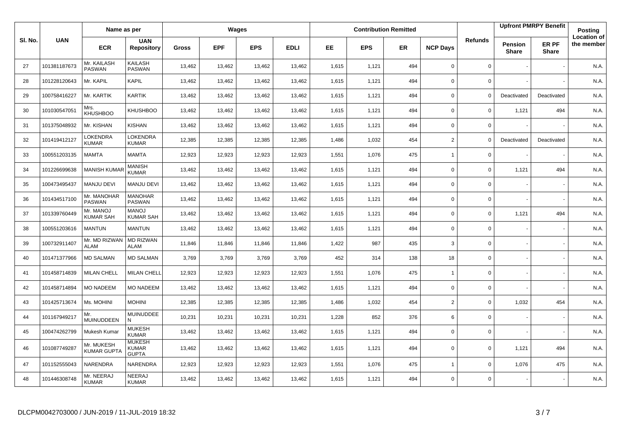|         |              | Name as per                      |                                               |              |            | Wages      |             |       |            | <b>Contribution Remitted</b> |                 |                |                         | <b>Upfront PMRPY Benefit</b> | Posting                          |
|---------|--------------|----------------------------------|-----------------------------------------------|--------------|------------|------------|-------------|-------|------------|------------------------------|-----------------|----------------|-------------------------|------------------------------|----------------------------------|
| SI. No. | <b>UAN</b>   | <b>ECR</b>                       | <b>UAN</b><br><b>Repository</b>               | <b>Gross</b> | <b>EPF</b> | <b>EPS</b> | <b>EDLI</b> | EE.   | <b>EPS</b> | <b>ER</b>                    | <b>NCP Days</b> | <b>Refunds</b> | Pension<br><b>Share</b> | ER PF<br><b>Share</b>        | <b>Location of</b><br>the member |
| 27      | 101381187673 | Mr. KAILASH<br><b>PASWAN</b>     | <b>KAILASH</b><br><b>PASWAN</b>               | 13,462       | 13,462     | 13,462     | 13,462      | 1,615 | 1,121      | 494                          | $\mathbf 0$     | 0              |                         |                              | N.A.                             |
| 28      | 101228120643 | Mr. KAPIL                        | <b>KAPIL</b>                                  | 13,462       | 13,462     | 13,462     | 13,462      | 1,615 | 1,121      | 494                          | $\Omega$        | $\mathbf 0$    |                         |                              | N.A.                             |
| 29      | 100758416227 | Mr. KARTIK                       | KARTIK                                        | 13,462       | 13,462     | 13,462     | 13,462      | 1,615 | 1,121      | 494                          | $\Omega$        | $\Omega$       | Deactivated             | Deactivated                  | N.A.                             |
| 30      | 101030547051 | Mrs.<br><b>KHUSHBOO</b>          | KHUSHBOO                                      | 13,462       | 13,462     | 13,462     | 13,462      | 1,615 | 1,121      | 494                          | $\mathbf 0$     | 0              | 1,121                   | 494                          | N.A.                             |
| 31      | 101375048932 | Mr. KISHAN                       | <b>KISHAN</b>                                 | 13,462       | 13,462     | 13,462     | 13,462      | 1,615 | 1,121      | 494                          | $\mathbf 0$     | 0              |                         |                              | N.A.                             |
| 32      | 101419412127 | LOKENDRA<br><b>KUMAR</b>         | LOKENDRA<br><b>KUMAR</b>                      | 12,385       | 12,385     | 12,385     | 12,385      | 1,486 | 1,032      | 454                          | $\overline{2}$  | $\Omega$       | Deactivated             | Deactivated                  | N.A.                             |
| 33      | 100551203135 | <b>MAMTA</b>                     | <b>MAMTA</b>                                  | 12,923       | 12,923     | 12,923     | 12,923      | 1,551 | 1,076      | 475                          | $\overline{1}$  | $\mathbf{0}$   |                         |                              | N.A.                             |
| 34      | 101226699638 | <b>MANISH KUMA</b>               | <b>MANISH</b><br><b>KUMAR</b>                 | 13,462       | 13,462     | 13,462     | 13,462      | 1,615 | 1,121      | 494                          | $\mathbf 0$     | 0              | 1,121                   | 494                          | N.A.                             |
| 35      | 100473495437 | <b>MANJU DEVI</b>                | <b>MANJU DEVI</b>                             | 13,462       | 13,462     | 13,462     | 13,462      | 1,615 | 1,121      | 494                          | $\mathbf 0$     | 0              |                         |                              | N.A.                             |
| 36      | 101434517100 | Mr. MANOHAR<br><b>PASWAN</b>     | <b>MANOHAR</b><br>PASWAN                      | 13,462       | 13,462     | 13,462     | 13,462      | 1,615 | 1,121      | 494                          | $\mathbf 0$     | 0              |                         |                              | N.A.                             |
| 37      | 101339760449 | Mr. MANOJ<br><b>KUMAR SAH</b>    | <b>MANOJ</b><br><b>KUMAR SAH</b>              | 13,462       | 13,462     | 13,462     | 13,462      | 1,615 | 1,121      | 494                          | $\mathbf 0$     | 0              | 1,121                   | 494                          | N.A.                             |
| 38      | 100551203616 | <b>MANTUN</b>                    | <b>MANTUN</b>                                 | 13,462       | 13,462     | 13,462     | 13,462      | 1,615 | 1,121      | 494                          | $\mathbf 0$     | $\Omega$       |                         |                              | N.A.                             |
| 39      | 100732911407 | Mr. MD RIZWAN<br><b>ALAM</b>     | <b>MD RIZWAN</b><br><b>ALAM</b>               | 11,846       | 11,846     | 11,846     | 11,846      | 1,422 | 987        | 435                          | 3               | 0              |                         |                              | N.A.                             |
| 40      | 101471377966 | <b>MD SALMAN</b>                 | <b>MD SALMAN</b>                              | 3,769        | 3,769      | 3,769      | 3,769       | 452   | 314        | 138                          | 18              | $\Omega$       |                         |                              | N.A.                             |
| 41      | 101458714839 | <b>MILAN CHELL</b>               | <b>MILAN CHELL</b>                            | 12,923       | 12,923     | 12,923     | 12,923      | 1,551 | 1,076      | 475                          | $\mathbf{1}$    | 0              |                         |                              | N.A.                             |
| 42      | 101458714894 | <b>MO NADEEM</b>                 | <b>MO NADEEM</b>                              | 13,462       | 13,462     | 13,462     | 13,462      | 1,615 | 1,121      | 494                          | $\mathbf 0$     | $\mathbf 0$    |                         |                              | N.A.                             |
| 43      | 101425713674 | Ms. MOHINI                       | <b>MOHINI</b>                                 | 12,385       | 12,385     | 12,385     | 12,385      | 1,486 | 1,032      | 454                          | $\overline{2}$  | 0              | 1,032                   | 454                          | N.A.                             |
| 44      | 101167949217 | Mr.<br><b>MUINUDDEEN</b>         | <b>MUINUDDEE</b><br>N                         | 10,231       | 10,231     | 10,231     | 10,231      | 1,228 | 852        | 376                          | 6               | $\mathbf 0$    |                         |                              | N.A.                             |
| 45      | 100474262799 | Mukesh Kumar                     | <b>MUKESH</b><br><b>KUMAR</b>                 | 13,462       | 13,462     | 13,462     | 13,462      | 1,615 | 1,121      | 494                          | $\mathbf 0$     | 0              |                         |                              | N.A.                             |
| 46      | 101087749287 | Mr. MUKESH<br><b>KUMAR GUPTA</b> | <b>MUKESH</b><br><b>KUMAR</b><br><b>GUPTA</b> | 13,462       | 13,462     | 13,462     | 13,462      | 1,615 | 1,121      | 494                          | $\mathbf 0$     | $\mathbf 0$    | 1,121                   | 494                          | N.A.                             |
| 47      | 101152555043 | NARENDRA                         | NARENDRA                                      | 12,923       | 12,923     | 12,923     | 12,923      | 1,551 | 1,076      | 475                          | $\overline{1}$  | $\mathbf 0$    | 1,076                   | 475                          | N.A.                             |
| 48      | 101446308748 | Mr. NEERAJ<br><b>KUMAR</b>       | NEERAJ<br><b>KUMAR</b>                        | 13,462       | 13,462     | 13,462     | 13,462      | 1,615 | 1,121      | 494                          | $\Omega$        | 0              |                         |                              | N.A.                             |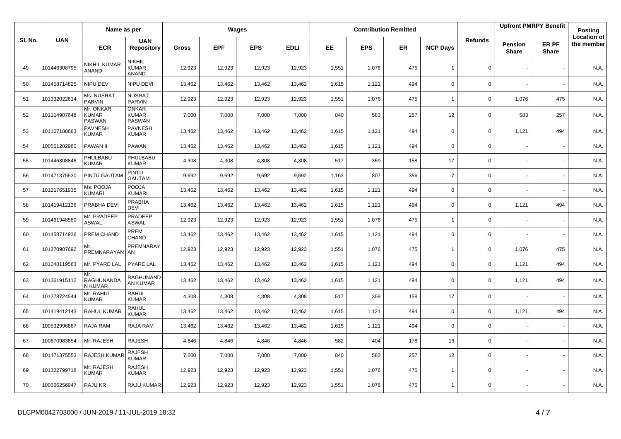|         |              | Name as per                                |                                               |              |            | Wages      |             |       |            | <b>Contribution Remitted</b> |                 |                | <b>Upfront PMRPY Benefit</b> |                       | <b>Posting</b>                   |
|---------|--------------|--------------------------------------------|-----------------------------------------------|--------------|------------|------------|-------------|-------|------------|------------------------------|-----------------|----------------|------------------------------|-----------------------|----------------------------------|
| SI. No. | <b>UAN</b>   | <b>ECR</b>                                 | <b>UAN</b><br><b>Repository</b>               | <b>Gross</b> | <b>EPF</b> | <b>EPS</b> | <b>EDLI</b> | EE.   | <b>EPS</b> | <b>ER</b>                    | <b>NCP Days</b> | <b>Refunds</b> | Pension<br><b>Share</b>      | ER PF<br><b>Share</b> | <b>Location of</b><br>the member |
| 49      | 101446308795 | <b>NIKHIL KUMAR</b><br>ANAND               | NIKHIL<br><b>KUMAR</b><br><b>ANAND</b>        | 12,923       | 12,923     | 12,923     | 12,923      | 1,551 | 1,076      | 475                          | $\mathbf{1}$    | $\mathbf 0$    |                              |                       | N.A.                             |
| 50      | 101458714825 | NIPU DEVI                                  | NIPU DEVI                                     | 13,462       | 13,462     | 13,462     | 13,462      | 1,615 | 1,121      | 494                          | $\mathbf 0$     | $\mathbf 0$    |                              |                       | N.A.                             |
| 51      | 101332022614 | Ms. NUSRAT<br><b>PARVIN</b>                | <b>NUSRAT</b><br><b>PARVIN</b>                | 12,923       | 12,923     | 12,923     | 12,923      | 1,551 | 1,076      | 475                          | $\mathbf{1}$    | $\mathbf 0$    | 1,076                        | 475                   | N.A.                             |
| 52      | 101114907648 | Mr. ONKAR<br><b>KUMAR</b><br><b>PASWAN</b> | <b>ONKAR</b><br><b>KUMAR</b><br><b>PASWAN</b> | 7,000        | 7,000      | 7,000      | 7,000       | 840   | 583        | 257                          | 12              | $\mathbf 0$    | 583                          | 257                   | N.A.                             |
| 53      | 101107180683 | <b>PAVNESH</b><br><b>KUMAR</b>             | <b>PAVNESH</b><br><b>KUMAR</b>                | 13,462       | 13,462     | 13,462     | 13,462      | 1,615 | 1,121      | 494                          | $\Omega$        | $\mathbf 0$    | 1,121                        | 494                   | N.A.                             |
| 54      | 100551202960 | PAWAN II                                   | PAWAN                                         | 13,462       | 13,462     | 13,462     | 13,462      | 1,615 | 1,121      | 494                          | $\mathbf 0$     | $\mathbf 0$    |                              |                       | N.A.                             |
| 55      | 101446308846 | PHULBABU<br><b>KUMAR</b>                   | PHULBABU<br><b>KUMAR</b>                      | 4,308        | 4,308      | 4,308      | 4,308       | 517   | 359        | 158                          | 17              | $\mathbf 0$    |                              |                       | N.A.                             |
| 56      | 101471375530 | PINTU GAUTAM                               | PINTU<br><b>GAUTAM</b>                        | 9,692        | 9,692      | 9,692      | 9,692       | 1,163 | 807        | 356                          | $\overline{7}$  | $\mathbf 0$    |                              |                       | N.A.                             |
| 57      | 101217651935 | Ms. POOJA<br>KUMARI                        | <b>POOJA</b><br><b>KUMARI</b>                 | 13,462       | 13,462     | 13,462     | 13,462      | 1,615 | 1,121      | 494                          | $\Omega$        | $\mathbf 0$    |                              |                       | N.A.                             |
| 58      | 101419412136 | PRABHA DEVI                                | <b>PRABHA</b><br><b>DEVI</b>                  | 13,462       | 13,462     | 13,462     | 13,462      | 1,615 | 1,121      | 494                          | $\mathbf 0$     | $\mathbf 0$    | 1,121                        | 494                   | N.A.                             |
| 59      | 101461948580 | Mr. PRADEEP<br><b>ASWAL</b>                | PRADEEP<br><b>ASWAL</b>                       | 12,923       | 12,923     | 12,923     | 12,923      | 1,551 | 1,076      | 475                          | $\mathbf{1}$    | $\mathsf 0$    |                              |                       | N.A.                             |
| 60      | 101458714936 | PREM CHAND                                 | PREM<br><b>CHAND</b>                          | 13,462       | 13,462     | 13,462     | 13,462      | 1,615 | 1,121      | 494                          | $\mathbf 0$     | $\mathbf 0$    |                              |                       | N.A.                             |
| 61      | 101270907692 | Mr.<br>PREMNARAYAN                         | PREMNARAY<br>AN                               | 12,923       | 12,923     | 12,923     | 12,923      | 1,551 | 1,076      | 475                          | $\mathbf{1}$    | $\mathbf 0$    | 1,076                        | 475                   | N.A.                             |
| 62      | 101048119563 | Mr. PYARE LAL                              | <b>PYARE LAL</b>                              | 13,462       | 13,462     | 13,462     | 13,462      | 1,615 | 1,121      | 494                          | $\mathbf 0$     | $\mathbf 0$    | 1,121                        | 494                   | N.A.                             |
| 63      | 101361915112 | Mr.<br>RAGHUNANDA<br>N KUMAR               | RAGHUNAND<br>AN KUMAR                         | 13,462       | 13,462     | 13,462     | 13,462      | 1,615 | 1,121      | 494                          | $\Omega$        | $\mathbf 0$    | 1,121                        | 494                   | N.A.                             |
| 64      | 101278724544 | Mr. RAHUL<br><b>KUMAR</b>                  | <b>RAHUL</b><br><b>KUMAR</b>                  | 4,308        | 4,308      | 4,308      | 4,308       | 517   | 359        | 158                          | 17              | $\mathsf 0$    |                              |                       | N.A.                             |
| 65      | 101419412143 | RAHUL KUMAR                                | <b>RAHUL</b><br><b>KUMAR</b>                  | 13,462       | 13,462     | 13,462     | 13,462      | 1,615 | 1,121      | 494                          | $\mathbf 0$     | $\mathbf 0$    | 1,121                        | 494                   | N.A.                             |
| 66      | 100532996867 | RAJA RAM                                   | RAJA RAM                                      | 13,462       | 13,462     | 13,462     | 13,462      | 1,615 | 1,121      | 494                          | $\mathbf 0$     | $\mathbf 0$    |                              |                       | N.A.                             |
| 67      | 100670983854 | Mr. RAJESH                                 | <b>RAJESH</b>                                 | 4,846        | 4,846      | 4,846      | 4,846       | 582   | 404        | 178                          | 16              | $\mathbf 0$    |                              |                       | N.A.                             |
| 68      | 101471375553 | RAJESH KUMA                                | <b>RAJESH</b><br><b>KUMAR</b>                 | 7,000        | 7,000      | 7,000      | 7,000       | 840   | 583        | 257                          | 12              | $\mathbf 0$    |                              |                       | N.A.                             |
| 69      | 101322799718 | Mr. RAJESH<br><b>KUMAR</b>                 | <b>RAJESH</b><br><b>KUMAR</b>                 | 12,923       | 12,923     | 12,923     | 12,923      | 1,551 | 1,076      | 475                          | $\overline{1}$  | $\mathbf 0$    |                              |                       | N.A.                             |
| 70      | 100566256947 | RAJU KR                                    | <b>RAJU KUMAR</b>                             | 12,923       | 12,923     | 12,923     | 12,923      | 1,551 | 1,076      | 475                          | $\mathbf{1}$    | $\mathbf 0$    |                              |                       | N.A.                             |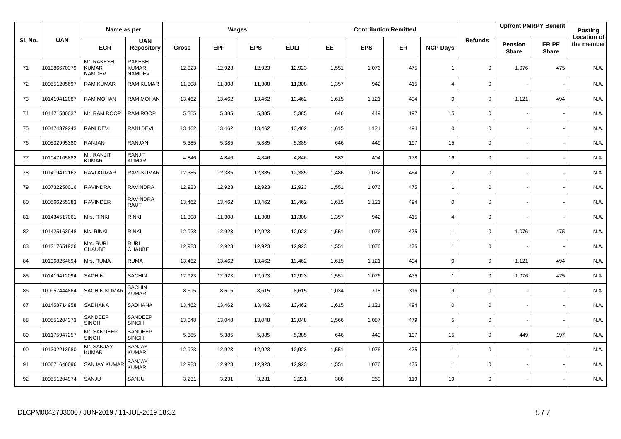|         |              | Name as per                                 |                                                |              | Wages      |            |             |       |            | <b>Contribution Remitted</b> |                          |                |                         | <b>Upfront PMRPY Benefit</b> | Posting                          |
|---------|--------------|---------------------------------------------|------------------------------------------------|--------------|------------|------------|-------------|-------|------------|------------------------------|--------------------------|----------------|-------------------------|------------------------------|----------------------------------|
| SI. No. | <b>UAN</b>   | <b>ECR</b>                                  | <b>UAN</b><br><b>Repository</b>                | <b>Gross</b> | <b>EPF</b> | <b>EPS</b> | <b>EDLI</b> | EE    | <b>EPS</b> | ER                           | <b>NCP Days</b>          | <b>Refunds</b> | Pension<br><b>Share</b> | <b>ER PF</b><br><b>Share</b> | <b>Location of</b><br>the member |
| 71      | 101386670379 | Mr. RAKESH<br><b>KUMAR</b><br><b>NAMDEV</b> | <b>RAKESH</b><br><b>KUMAR</b><br><b>NAMDEV</b> | 12,923       | 12,923     | 12,923     | 12,923      | 1,551 | 1,076      | 475                          | $\overline{1}$           | $\mathbf 0$    | 1,076                   | 475                          | N.A.                             |
| 72      | 100551205697 | <b>RAM KUMAR</b>                            | <b>RAM KUMAR</b>                               | 11,308       | 11,308     | 11,308     | 11,308      | 1,357 | 942        | 415                          | $\overline{4}$           | 0              |                         |                              | N.A.                             |
| 73      | 101419412087 | <b>RAM MOHAN</b>                            | <b>RAM MOHAN</b>                               | 13,462       | 13,462     | 13,462     | 13,462      | 1,615 | 1,121      | 494                          | $\mathbf 0$              | 0              | 1,121                   | 494                          | N.A.                             |
| 74      | 101471580037 | Mr. RAM ROOP                                | <b>RAM ROOP</b>                                | 5,385        | 5,385      | 5,385      | 5,385       | 646   | 449        | 197                          | 15                       | 0              |                         |                              | N.A.                             |
| 75      | 100474379243 | <b>RANI DEVI</b>                            | <b>RANI DEVI</b>                               | 13,462       | 13,462     | 13,462     | 13,462      | 1,615 | 1,121      | 494                          | $\mathbf 0$              | 0              |                         |                              | N.A.                             |
| 76      | 100532995380 | <b>RANJAN</b>                               | <b>RANJAN</b>                                  | 5,385        | 5,385      | 5,385      | 5,385       | 646   | 449        | 197                          | 15                       | 0              |                         |                              | N.A.                             |
| 77      | 101047105882 | Mr. RANJIT<br><b>KUMAR</b>                  | <b>RANJIT</b><br><b>KUMAR</b>                  | 4,846        | 4,846      | 4,846      | 4,846       | 582   | 404        | 178                          | 16                       | 0              |                         |                              | N.A.                             |
| 78      | 101419412162 | RAVI KUMAR                                  | <b>RAVI KUMAR</b>                              | 12,385       | 12,385     | 12,385     | 12,385      | 1,486 | 1,032      | 454                          | $\overline{2}$           | 0              |                         |                              | N.A.                             |
| 79      | 100732250016 | <b>RAVINDRA</b>                             | <b>RAVINDRA</b>                                | 12,923       | 12,923     | 12,923     | 12,923      | 1,551 | 1,076      | 475                          | $\overline{1}$           | 0              |                         |                              | N.A.                             |
| 80      | 100566255383 | RAVINDER                                    | RAVINDRA<br><b>RAUT</b>                        | 13,462       | 13,462     | 13,462     | 13,462      | 1,615 | 1,121      | 494                          | $\mathbf 0$              | 0              |                         |                              | N.A.                             |
| 81      | 101434517061 | Mrs. RINKI                                  | <b>RINKI</b>                                   | 11,308       | 11,308     | 11,308     | 11,308      | 1,357 | 942        | 415                          | $\overline{4}$           | 0              |                         |                              | N.A.                             |
| 82      | 101425163948 | Ms. RINKI                                   | <b>RINKI</b>                                   | 12,923       | 12,923     | 12,923     | 12,923      | 1,551 | 1,076      | 475                          | $\overline{1}$           | 0              | 1,076                   | 475                          | N.A.                             |
| 83      | 101217651926 | Mrs. RUBI<br>CHAUBE                         | <b>RUBI</b><br>CHAUBE                          | 12,923       | 12,923     | 12,923     | 12,923      | 1,551 | 1,076      | 475                          | $\overline{1}$           | 0              |                         |                              | N.A.                             |
| 84      | 101368264694 | Mrs. RUMA                                   | <b>RUMA</b>                                    | 13,462       | 13,462     | 13,462     | 13,462      | 1,615 | 1,121      | 494                          | $\mathbf 0$              | 0              | 1,121                   | 494                          | N.A.                             |
| 85      | 101419412094 | <b>SACHIN</b>                               | SACHIN                                         | 12,923       | 12,923     | 12,923     | 12,923      | 1,551 | 1,076      | 475                          |                          | 0              | 1,076                   | 475                          | N.A.                             |
| 86      | 100957444864 | <b>SACHIN KUMAR</b>                         | <b>SACHIN</b><br><b>KUMAR</b>                  | 8,615        | 8,615      | 8,615      | 8,615       | 1,034 | 718        | 316                          | 9                        | 0              |                         |                              | N.A.                             |
| 87      | 101458714958 | SADHANA                                     | SADHANA                                        | 13,462       | 13,462     | 13,462     | 13,462      | 1,615 | 1,121      | 494                          | $\mathbf 0$              | 0              |                         |                              | N.A.                             |
| 88      | 100551204373 | SANDEEP<br><b>SINGH</b>                     | SANDEEP<br><b>SINGH</b>                        | 13,048       | 13,048     | 13,048     | 13,048      | 1,566 | 1,087      | 479                          | 5                        | $\mathsf{O}$   |                         |                              | N.A.                             |
| 89      | 101175947257 | Mr. SANDEEP<br><b>SINGH</b>                 | SANDEEP<br><b>SINGH</b>                        | 5,385        | 5,385      | 5,385      | 5,385       | 646   | 449        | 197                          | 15                       | 0              | 449                     | 197                          | N.A.                             |
| 90      | 101202213980 | Mr. SANJAY<br><b>KUMAR</b>                  | SANJAY<br>KUMAR                                | 12,923       | 12,923     | 12,923     | 12,923      | 1,551 | 1,076      | 475                          | $\overline{\phantom{a}}$ | 0              |                         |                              | N.A.                             |
| 91      | 100671646096 | <b>SANJAY KUMAR</b>                         | SANJAY<br>KUMAR                                | 12,923       | 12,923     | 12,923     | 12,923      | 1,551 | 1,076      | 475                          |                          | 0              |                         |                              | N.A.                             |
| 92      | 100551204974 | SANJU                                       | SANJU                                          | 3,231        | 3,231      | 3,231      | 3,231       | 388   | 269        | 119                          | 19                       | 0              |                         |                              | N.A.                             |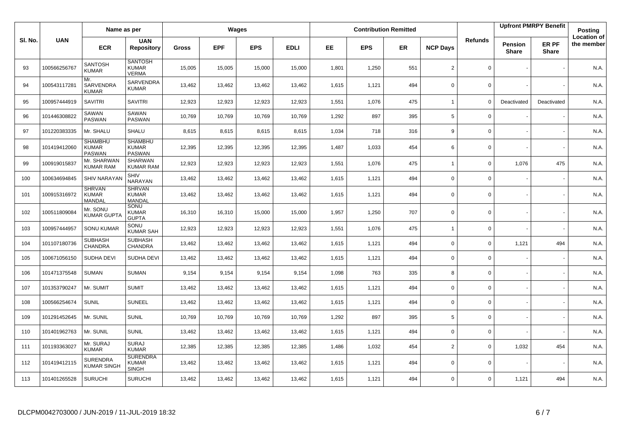|         |              | Name as per                              |                                                |              |            | Wages      |             |       |            | <b>Contribution Remitted</b> |                          |                |                                | <b>Upfront PMRPY Benefit</b> | <b>Posting</b>                   |
|---------|--------------|------------------------------------------|------------------------------------------------|--------------|------------|------------|-------------|-------|------------|------------------------------|--------------------------|----------------|--------------------------------|------------------------------|----------------------------------|
| SI. No. | <b>UAN</b>   | <b>ECR</b>                               | <b>UAN</b><br><b>Repository</b>                | <b>Gross</b> | <b>EPF</b> | <b>EPS</b> | <b>EDLI</b> | EE    | <b>EPS</b> | <b>ER</b>                    | <b>NCP Days</b>          | <b>Refunds</b> | <b>Pension</b><br><b>Share</b> | ER PF<br><b>Share</b>        | <b>Location of</b><br>the member |
| 93      | 100566256767 | <b>SANTOSH</b><br><b>KUMAR</b>           | <b>SANTOSH</b><br><b>KUMAR</b><br><b>VERMA</b> | 15,005       | 15,005     | 15,000     | 15,000      | 1,801 | 1,250      | 551                          | 2                        | 0              |                                |                              | N.A.                             |
| 94      | 100543117281 | Mr.<br>SARVENDRA<br><b>KUMAR</b>         | SARVENDRA<br><b>KUMAR</b>                      | 13,462       | 13,462     | 13,462     | 13,462      | 1,615 | 1,121      | 494                          | $\Omega$                 | $\mathbf 0$    |                                |                              | N.A.                             |
| 95      | 100957444919 | <b>SAVITRI</b>                           | <b>SAVITRI</b>                                 | 12,923       | 12,923     | 12,923     | 12,923      | 1,551 | 1,076      | 475                          | $\overline{\phantom{a}}$ | $\Omega$       | Deactivated                    | Deactivated                  | N.A.                             |
| 96      | 101446308822 | SAWAN<br><b>PASWAN</b>                   | SAWAN<br><b>PASWAN</b>                         | 10,769       | 10,769     | 10,769     | 10,769      | 1,292 | 897        | 395                          | 5                        | 0              |                                |                              | N.A.                             |
| 97      | 101220383335 | Mr. SHALU                                | <b>SHALU</b>                                   | 8,615        | 8,615      | 8,615      | 8,615       | 1,034 | 718        | 316                          | 9                        | 0              |                                |                              | N.A.                             |
| 98      | 101419412060 | <b>SHAMBHU</b><br><b>KUMAR</b><br>PASWAN | <b>SHAMBHU</b><br>KUMAR<br>PASWAN              | 12,395       | 12,395     | 12,395     | 12,395      | 1,487 | 1,033      | 454                          | 6                        | 0              |                                |                              | N.A.                             |
| 99      | 100919015837 | Mr. SHARWAN<br><b>KUMAR RAM</b>          | <b>SHARWAN</b><br><b>KUMAR RAM</b>             | 12,923       | 12,923     | 12,923     | 12,923      | 1,551 | 1,076      | 475                          | $\overline{1}$           | 0              | 1,076                          | 475                          | N.A.                             |
| 100     | 100634694845 | <b>SHIV NARAYAN</b>                      | <b>SHIV</b><br>NARAYAN                         | 13,462       | 13,462     | 13,462     | 13,462      | 1,615 | 1,121      | 494                          | $\Omega$                 | 0              |                                |                              | N.A.                             |
| 101     | 100915316972 | <b>SHRVAN</b><br><b>KUMAR</b><br>MANDAL  | <b>SHRVAN</b><br><b>KUMAR</b><br><b>MANDAL</b> | 13,462       | 13,462     | 13,462     | 13,462      | 1,615 | 1,121      | 494                          | $\mathbf 0$              | 0              |                                |                              | N.A.                             |
| 102     | 100511809084 | Mr. SONU<br><b>KUMAR GUPT/</b>           | SONU<br><b>KUMAR</b><br><b>GUPTA</b>           | 16,310       | 16,310     | 15,000     | 15,000      | 1,957 | 1,250      | 707                          | $\Omega$                 | 0              |                                |                              | N.A.                             |
| 103     | 100957444957 | <b>SONU KUMAR</b>                        | SONU<br><b>KUMAR SAH</b>                       | 12,923       | 12,923     | 12,923     | 12,923      | 1,551 | 1,076      | 475                          | $\overline{1}$           | 0              |                                |                              | N.A.                             |
| 104     | 101107180736 | <b>SUBHASH</b><br><b>CHANDRA</b>         | <b>SUBHASH</b><br><b>CHANDRA</b>               | 13,462       | 13,462     | 13,462     | 13,462      | 1,615 | 1,121      | 494                          | $\mathbf 0$              | 0              | 1,121                          | 494                          | N.A.                             |
| 105     | 100671056150 | SUDHA DEVI                               | SUDHA DEVI                                     | 13,462       | 13,462     | 13,462     | 13,462      | 1,615 | 1,121      | 494                          | $\mathbf 0$              | 0              |                                |                              | N.A.                             |
| 106     | 101471375548 | <b>SUMAN</b>                             | <b>SUMAN</b>                                   | 9,154        | 9,154      | 9,154      | 9,154       | 1,098 | 763        | 335                          | 8                        | 0              |                                |                              | N.A.                             |
| 107     | 101353790247 | Mr. SUMIT                                | <b>SUMIT</b>                                   | 13,462       | 13,462     | 13,462     | 13,462      | 1,615 | 1,121      | 494                          | $\mathbf 0$              | 0              |                                |                              | N.A.                             |
| 108     | 100566254674 | <b>SUNIL</b>                             | <b>SUNEEL</b>                                  | 13,462       | 13,462     | 13.462     | 13,462      | 1,615 | 1,121      | 494                          | $\mathbf 0$              | 0              |                                |                              | N.A.                             |
| 109     | 101291452645 | Mr. SUNIL                                | <b>SUNIL</b>                                   | 10,769       | 10,769     | 10,769     | 10,769      | 1,292 | 897        | 395                          | 5                        | 0              |                                |                              | N.A.                             |
| 110     | 101401962763 | Mr. SUNIL                                | <b>SUNIL</b>                                   | 13,462       | 13,462     | 13.462     | 13,462      | 1,615 | 1,121      | 494                          | $\Omega$                 | 0              |                                |                              | N.A.                             |
| 111     | 101193363027 | Mr. SURAJ<br><b>KUMAR</b>                | <b>SURAJ</b><br><b>KUMAR</b>                   | 12,385       | 12,385     | 12,385     | 12,385      | 1,486 | 1,032      | 454                          | $\overline{2}$           | 0              | 1,032                          | 454                          | N.A.                             |
| 112     | 101419412115 | <b>SURENDRA</b><br><b>KUMAR SINGH</b>    | <b>SURENDRA</b><br>KUMAR<br><b>SINGH</b>       | 13,462       | 13,462     | 13,462     | 13,462      | 1,615 | 1,121      | 494                          | $\mathbf 0$              | 0              |                                |                              | N.A.                             |
| 113     | 101401265528 | <b>SURUCHI</b>                           | <b>SURUCHI</b>                                 | 13,462       | 13,462     | 13,462     | 13,462      | 1,615 | 1,121      | 494                          | $\Omega$                 | 0              | 1,121                          | 494                          | N.A.                             |